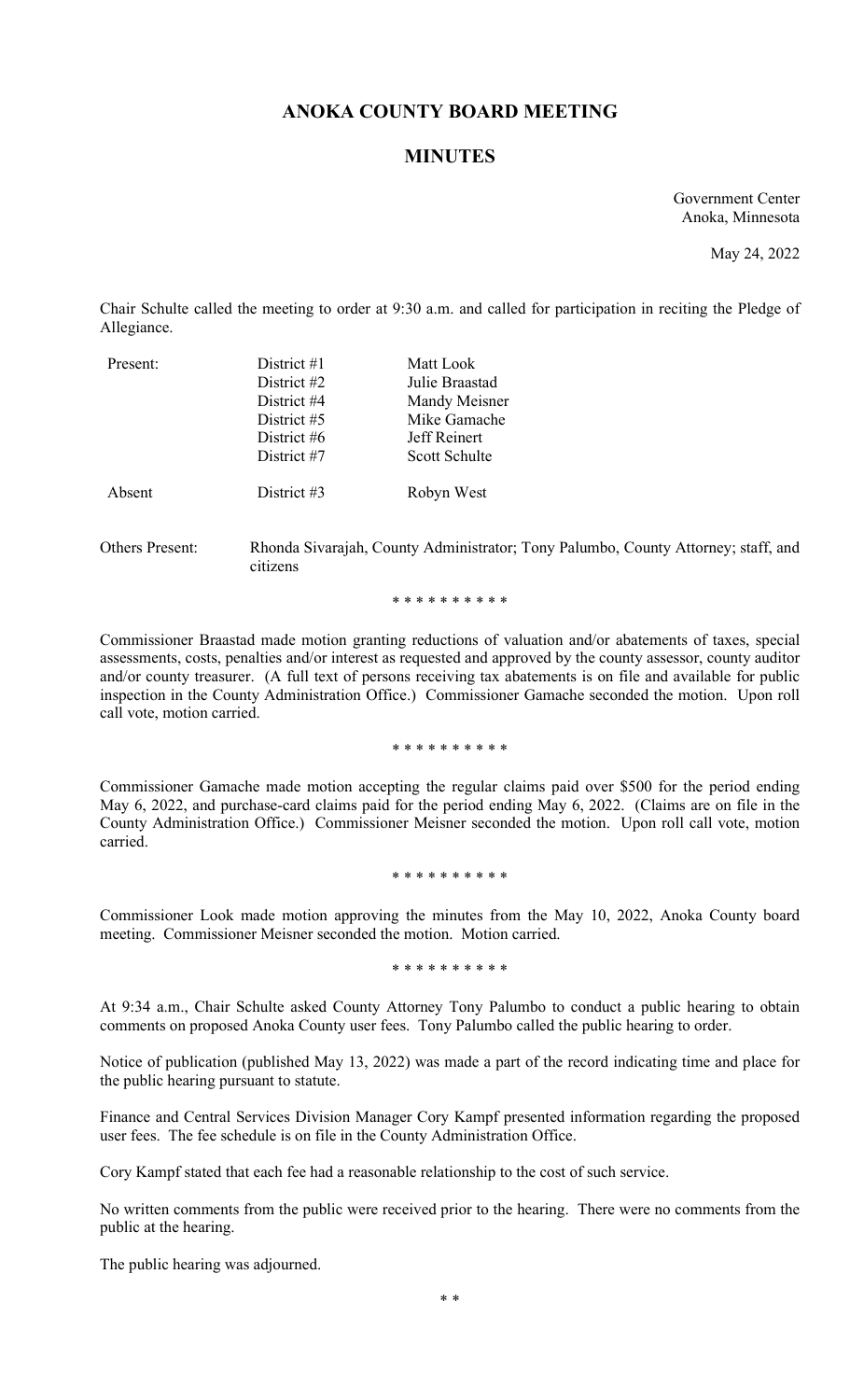# **ANOKA COUNTY BOARD MEETING**

### **MINUTES**

Government Center Anoka, Minnesota

May 24, 2022

Chair Schulte called the meeting to order at 9:30 a.m. and called for participation in reciting the Pledge of Allegiance.

| Present: | District $#1$<br>District #2 | Matt Look<br>Julie Braastad |
|----------|------------------------------|-----------------------------|
|          | District #4                  | Mandy Meisner               |
|          | District #5                  | Mike Gamache                |
|          | District #6                  | Jeff Reinert                |
|          | District #7                  | Scott Schulte               |
| Absent   | District #3                  | Robyn West                  |

Others Present: Rhonda Sivarajah, County Administrator; Tony Palumbo, County Attorney; staff, and citizens

\* \* \* \* \* \* \* \* \* \*

Commissioner Braastad made motion granting reductions of valuation and/or abatements of taxes, special assessments, costs, penalties and/or interest as requested and approved by the county assessor, county auditor and/or county treasurer. (A full text of persons receiving tax abatements is on file and available for public inspection in the County Administration Office.) Commissioner Gamache seconded the motion. Upon roll call vote, motion carried.

\* \* \* \* \* \* \* \* \* \*

Commissioner Gamache made motion accepting the regular claims paid over \$500 for the period ending May 6, 2022, and purchase-card claims paid for the period ending May 6, 2022. (Claims are on file in the County Administration Office.) Commissioner Meisner seconded the motion. Upon roll call vote, motion carried.

\* \* \* \* \* \* \* \* \* \*

Commissioner Look made motion approving the minutes from the May 10, 2022, Anoka County board meeting. Commissioner Meisner seconded the motion. Motion carried.

\* \* \* \* \* \* \* \* \* \*

At 9:34 a.m., Chair Schulte asked County Attorney Tony Palumbo to conduct a public hearing to obtain comments on proposed Anoka County user fees. Tony Palumbo called the public hearing to order.

Notice of publication (published May 13, 2022) was made a part of the record indicating time and place for the public hearing pursuant to statute.

Finance and Central Services Division Manager Cory Kampf presented information regarding the proposed user fees. The fee schedule is on file in the County Administration Office.

Cory Kampf stated that each fee had a reasonable relationship to the cost of such service.

No written comments from the public were received prior to the hearing. There were no comments from the public at the hearing.

The public hearing was adjourned.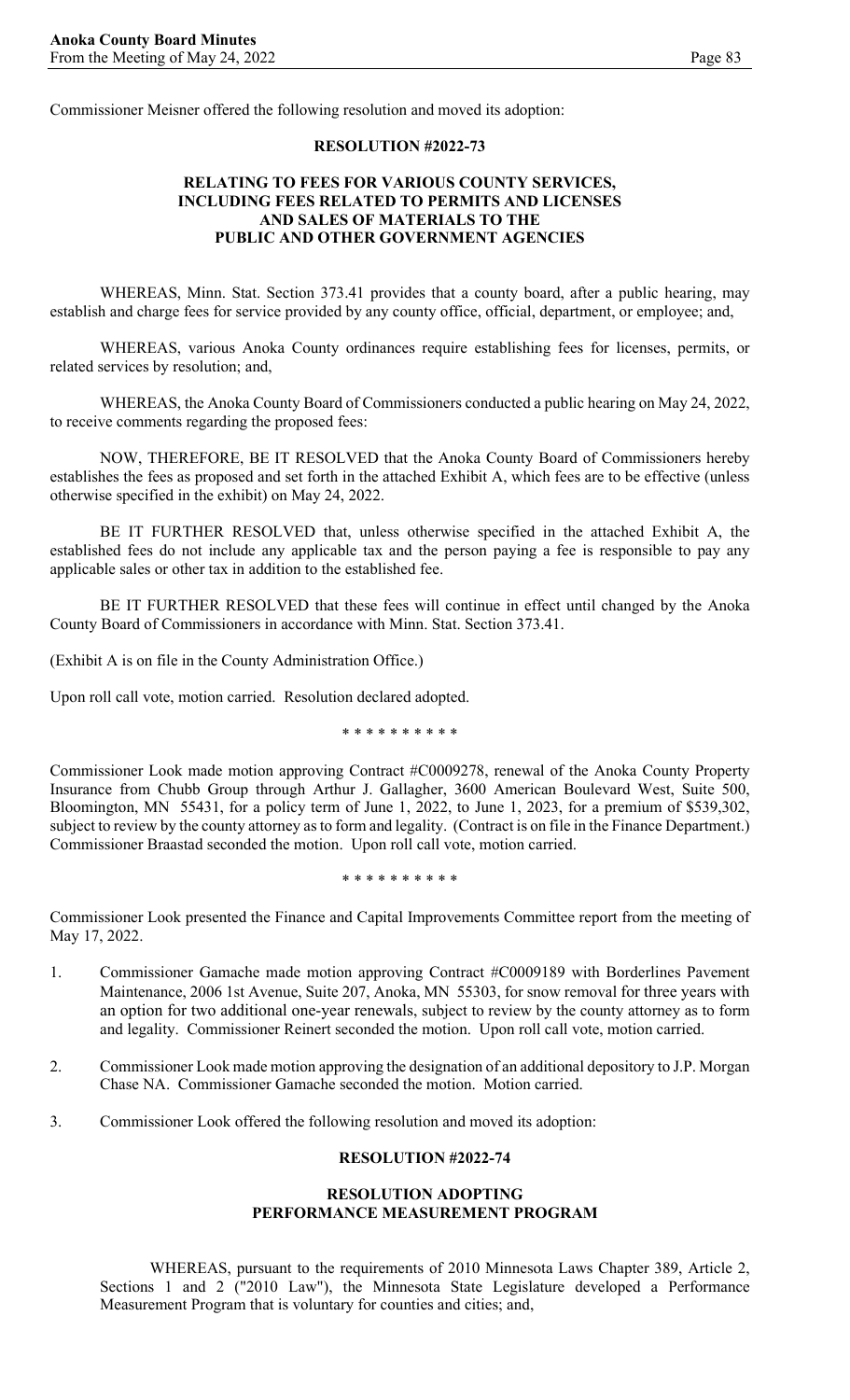Commissioner Meisner offered the following resolution and moved its adoption:

#### **RESOLUTION #2022-73**

### **RELATING TO FEES FOR VARIOUS COUNTY SERVICES, INCLUDING FEES RELATED TO PERMITS AND LICENSES AND SALES OF MATERIALS TO THE PUBLIC AND OTHER GOVERNMENT AGENCIES**

WHEREAS, Minn. Stat. Section 373.41 provides that a county board, after a public hearing, may establish and charge fees for service provided by any county office, official, department, or employee; and,

WHEREAS, various Anoka County ordinances require establishing fees for licenses, permits, or related services by resolution; and,

WHEREAS, the Anoka County Board of Commissioners conducted a public hearing on May 24, 2022, to receive comments regarding the proposed fees:

NOW, THEREFORE, BE IT RESOLVED that the Anoka County Board of Commissioners hereby establishes the fees as proposed and set forth in the attached Exhibit A, which fees are to be effective (unless otherwise specified in the exhibit) on May 24, 2022.

BE IT FURTHER RESOLVED that, unless otherwise specified in the attached Exhibit A, the established fees do not include any applicable tax and the person paying a fee is responsible to pay any applicable sales or other tax in addition to the established fee.

BE IT FURTHER RESOLVED that these fees will continue in effect until changed by the Anoka County Board of Commissioners in accordance with Minn. Stat. Section 373.41.

(Exhibit A is on file in the County Administration Office.)

Upon roll call vote, motion carried. Resolution declared adopted.

\* \* \* \* \* \* \* \* \* \*

Commissioner Look made motion approving Contract #C0009278, renewal of the Anoka County Property Insurance from Chubb Group through Arthur J. Gallagher, 3600 American Boulevard West, Suite 500, Bloomington, MN 55431, for a policy term of June 1, 2022, to June 1, 2023, for a premium of \$539,302, subject to review by the county attorney as to form and legality. (Contract is on file in the Finance Department.) Commissioner Braastad seconded the motion. Upon roll call vote, motion carried.

\* \* \* \* \* \* \* \* \* \*

Commissioner Look presented the Finance and Capital Improvements Committee report from the meeting of May 17, 2022.

- 1. Commissioner Gamache made motion approving Contract #C0009189 with Borderlines Pavement Maintenance, 2006 1st Avenue, Suite 207, Anoka, MN 55303, for snow removal for three years with an option for two additional one-year renewals, subject to review by the county attorney as to form and legality. Commissioner Reinert seconded the motion. Upon roll call vote, motion carried.
- 2. Commissioner Look made motion approving the designation of an additional depository to J.P. Morgan Chase NA. Commissioner Gamache seconded the motion. Motion carried.
- 3. Commissioner Look offered the following resolution and moved its adoption:

#### **RESOLUTION #2022-74**

#### **RESOLUTION ADOPTING PERFORMANCE MEASUREMENT PROGRAM**

WHEREAS, pursuant to the requirements of 2010 Minnesota Laws Chapter 389, Article 2, Sections 1 and 2 ("2010 Law"), the Minnesota State Legislature developed a Performance Measurement Program that is voluntary for counties and cities; and,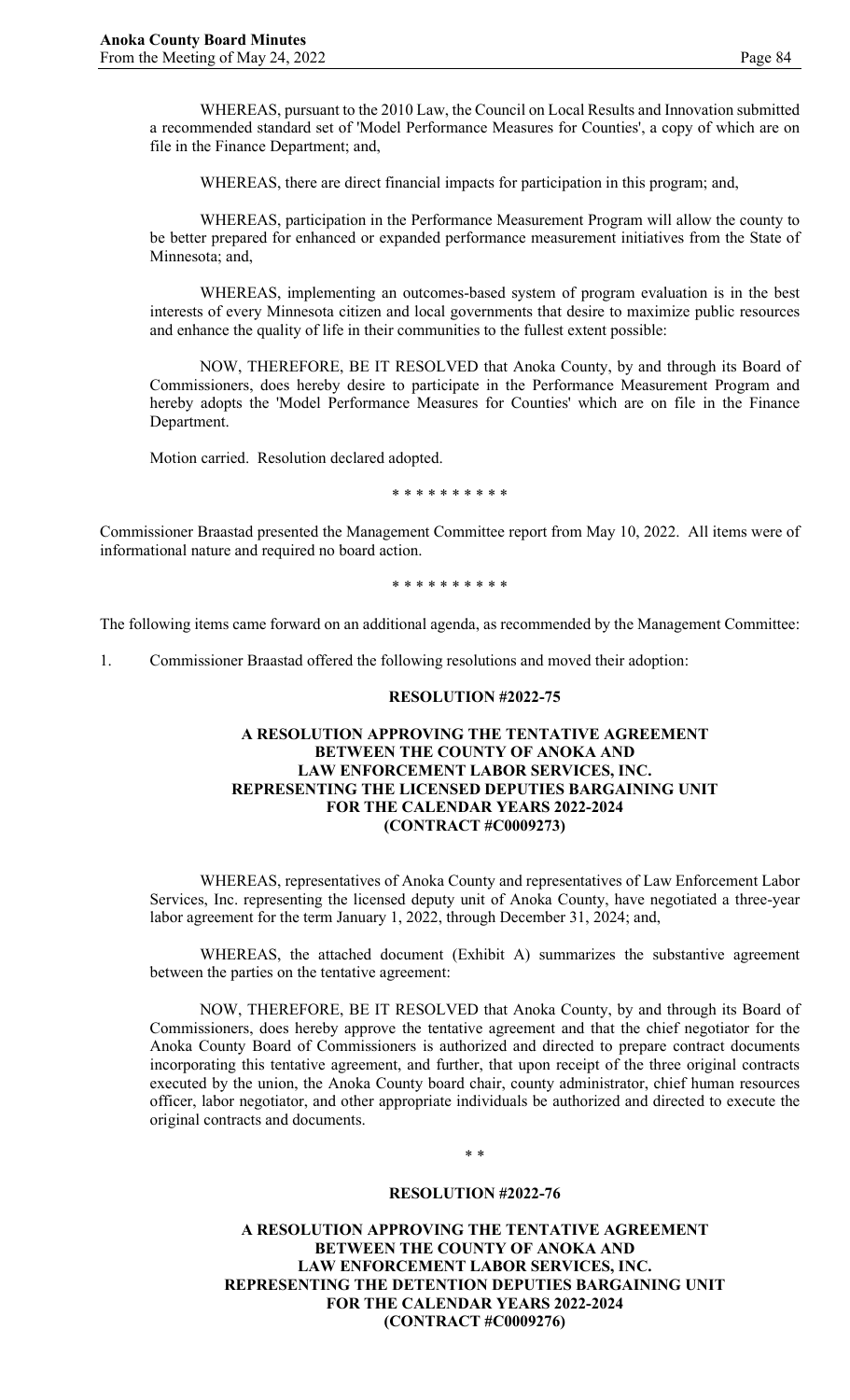WHEREAS, pursuant to the 2010 Law, the Council on Local Results and Innovation submitted a recommended standard set of 'Model Performance Measures for Counties', a copy of which are on file in the Finance Department; and,

WHEREAS, there are direct financial impacts for participation in this program; and,

WHEREAS, participation in the Performance Measurement Program will allow the county to be better prepared for enhanced or expanded performance measurement initiatives from the State of Minnesota; and,

WHEREAS, implementing an outcomes-based system of program evaluation is in the best interests of every Minnesota citizen and local governments that desire to maximize public resources and enhance the quality of life in their communities to the fullest extent possible:

NOW, THEREFORE, BE IT RESOLVED that Anoka County, by and through its Board of Commissioners, does hereby desire to participate in the Performance Measurement Program and hereby adopts the 'Model Performance Measures for Counties' which are on file in the Finance Department.

Motion carried. Resolution declared adopted.

\* \* \* \* \* \* \* \* \* \*

Commissioner Braastad presented the Management Committee report from May 10, 2022. All items were of informational nature and required no board action.

\* \* \* \* \* \* \* \* \* \*

The following items came forward on an additional agenda, as recommended by the Management Committee:

1. Commissioner Braastad offered the following resolutions and moved their adoption:

#### **RESOLUTION #2022-75**

### **A RESOLUTION APPROVING THE TENTATIVE AGREEMENT BETWEEN THE COUNTY OF ANOKA AND LAW ENFORCEMENT LABOR SERVICES, INC. REPRESENTING THE LICENSED DEPUTIES BARGAINING UNIT FOR THE CALENDAR YEARS 2022-2024 (CONTRACT #C0009273)**

WHEREAS, representatives of Anoka County and representatives of Law Enforcement Labor Services, Inc. representing the licensed deputy unit of Anoka County, have negotiated a three-year labor agreement for the term January 1, 2022, through December 31, 2024; and,

WHEREAS, the attached document (Exhibit A) summarizes the substantive agreement between the parties on the tentative agreement:

NOW, THEREFORE, BE IT RESOLVED that Anoka County, by and through its Board of Commissioners, does hereby approve the tentative agreement and that the chief negotiator for the Anoka County Board of Commissioners is authorized and directed to prepare contract documents incorporating this tentative agreement, and further, that upon receipt of the three original contracts executed by the union, the Anoka County board chair, county administrator, chief human resources officer, labor negotiator, and other appropriate individuals be authorized and directed to execute the original contracts and documents.

### \* \*

#### **RESOLUTION #2022-76**

**A RESOLUTION APPROVING THE TENTATIVE AGREEMENT BETWEEN THE COUNTY OF ANOKA AND LAW ENFORCEMENT LABOR SERVICES, INC. REPRESENTING THE DETENTION DEPUTIES BARGAINING UNIT FOR THE CALENDAR YEARS 2022-2024 (CONTRACT #C0009276)**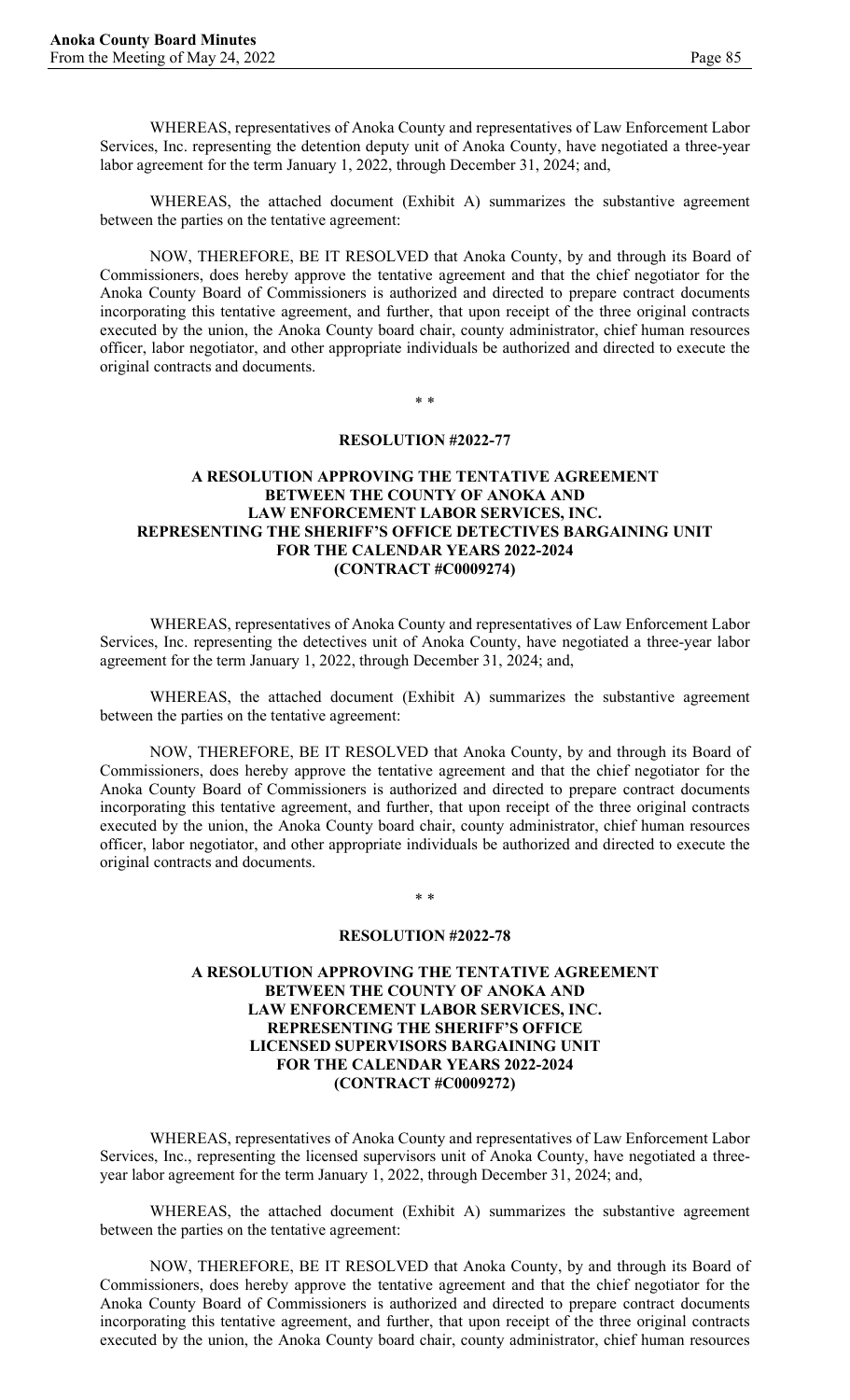WHEREAS, representatives of Anoka County and representatives of Law Enforcement Labor Services, Inc. representing the detention deputy unit of Anoka County, have negotiated a three-year labor agreement for the term January 1, 2022, through December 31, 2024; and,

WHEREAS, the attached document (Exhibit A) summarizes the substantive agreement between the parties on the tentative agreement:

NOW, THEREFORE, BE IT RESOLVED that Anoka County, by and through its Board of Commissioners, does hereby approve the tentative agreement and that the chief negotiator for the Anoka County Board of Commissioners is authorized and directed to prepare contract documents incorporating this tentative agreement, and further, that upon receipt of the three original contracts executed by the union, the Anoka County board chair, county administrator, chief human resources officer, labor negotiator, and other appropriate individuals be authorized and directed to execute the original contracts and documents.

\* \*

### **RESOLUTION #2022-77**

### **A RESOLUTION APPROVING THE TENTATIVE AGREEMENT BETWEEN THE COUNTY OF ANOKA AND LAW ENFORCEMENT LABOR SERVICES, INC. REPRESENTING THE SHERIFF'S OFFICE DETECTIVES BARGAINING UNIT FOR THE CALENDAR YEARS 2022-2024 (CONTRACT #C0009274)**

WHEREAS, representatives of Anoka County and representatives of Law Enforcement Labor Services, Inc. representing the detectives unit of Anoka County, have negotiated a three-year labor agreement for the term January 1, 2022, through December 31, 2024; and,

WHEREAS, the attached document (Exhibit A) summarizes the substantive agreement between the parties on the tentative agreement:

NOW, THEREFORE, BE IT RESOLVED that Anoka County, by and through its Board of Commissioners, does hereby approve the tentative agreement and that the chief negotiator for the Anoka County Board of Commissioners is authorized and directed to prepare contract documents incorporating this tentative agreement, and further, that upon receipt of the three original contracts executed by the union, the Anoka County board chair, county administrator, chief human resources officer, labor negotiator, and other appropriate individuals be authorized and directed to execute the original contracts and documents.

\* \*

#### **RESOLUTION #2022-78**

### **A RESOLUTION APPROVING THE TENTATIVE AGREEMENT BETWEEN THE COUNTY OF ANOKA AND LAW ENFORCEMENT LABOR SERVICES, INC. REPRESENTING THE SHERIFF'S OFFICE LICENSED SUPERVISORS BARGAINING UNIT FOR THE CALENDAR YEARS 2022-2024 (CONTRACT #C0009272)**

WHEREAS, representatives of Anoka County and representatives of Law Enforcement Labor Services, Inc., representing the licensed supervisors unit of Anoka County, have negotiated a threeyear labor agreement for the term January 1, 2022, through December 31, 2024; and,

WHEREAS, the attached document (Exhibit A) summarizes the substantive agreement between the parties on the tentative agreement:

NOW, THEREFORE, BE IT RESOLVED that Anoka County, by and through its Board of Commissioners, does hereby approve the tentative agreement and that the chief negotiator for the Anoka County Board of Commissioners is authorized and directed to prepare contract documents incorporating this tentative agreement, and further, that upon receipt of the three original contracts executed by the union, the Anoka County board chair, county administrator, chief human resources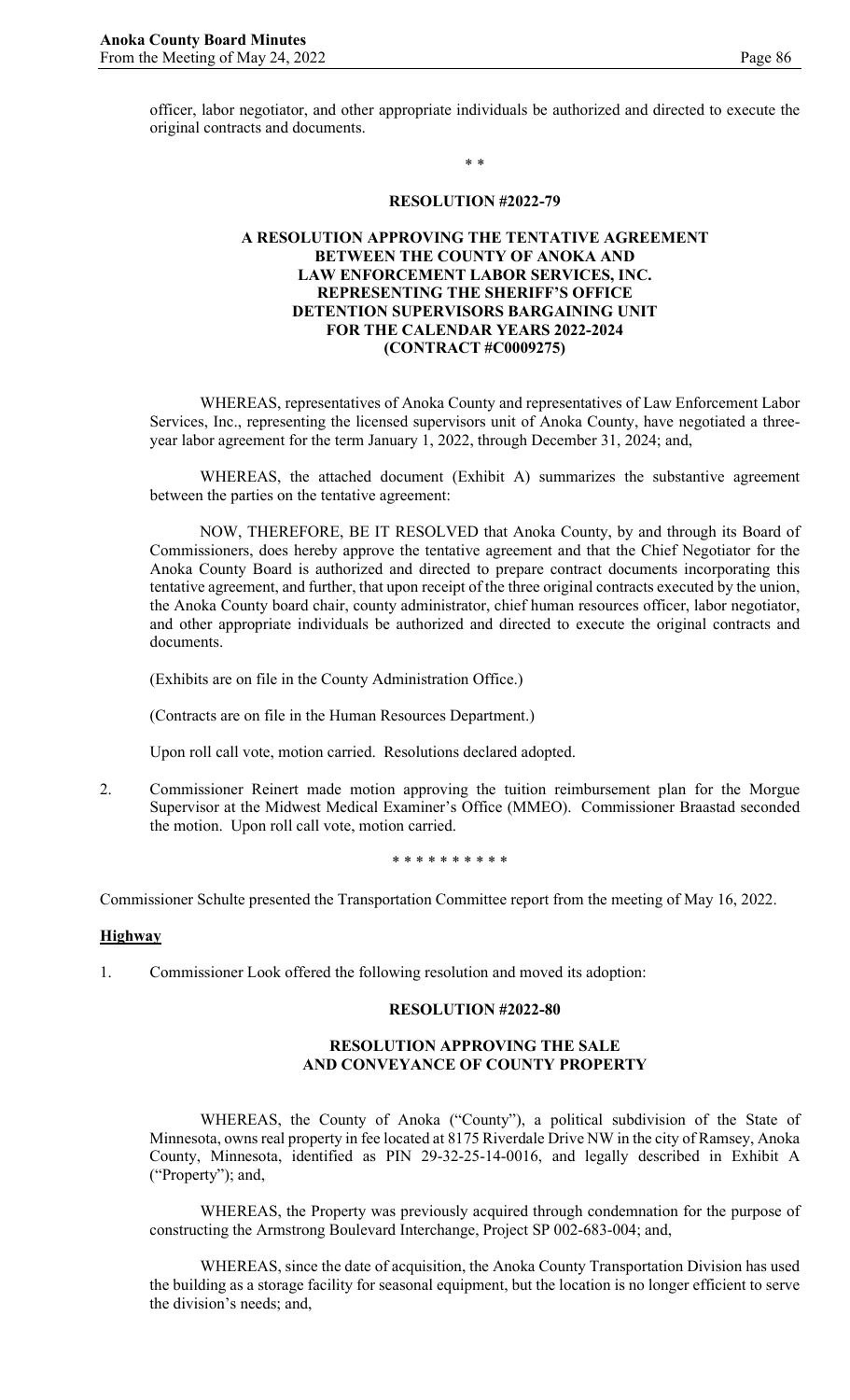\* \*

#### **RESOLUTION #2022-79**

### **A RESOLUTION APPROVING THE TENTATIVE AGREEMENT BETWEEN THE COUNTY OF ANOKA AND LAW ENFORCEMENT LABOR SERVICES, INC. REPRESENTING THE SHERIFF'S OFFICE DETENTION SUPERVISORS BARGAINING UNIT FOR THE CALENDAR YEARS 2022-2024 (CONTRACT #C0009275)**

WHEREAS, representatives of Anoka County and representatives of Law Enforcement Labor Services, Inc., representing the licensed supervisors unit of Anoka County, have negotiated a threeyear labor agreement for the term January 1, 2022, through December 31, 2024; and,

WHEREAS, the attached document (Exhibit A) summarizes the substantive agreement between the parties on the tentative agreement:

NOW, THEREFORE, BE IT RESOLVED that Anoka County, by and through its Board of Commissioners, does hereby approve the tentative agreement and that the Chief Negotiator for the Anoka County Board is authorized and directed to prepare contract documents incorporating this tentative agreement, and further, that upon receipt of the three original contracts executed by the union, the Anoka County board chair, county administrator, chief human resources officer, labor negotiator, and other appropriate individuals be authorized and directed to execute the original contracts and documents.

(Exhibits are on file in the County Administration Office.)

(Contracts are on file in the Human Resources Department.)

Upon roll call vote, motion carried. Resolutions declared adopted.

2. Commissioner Reinert made motion approving the tuition reimbursement plan for the Morgue Supervisor at the Midwest Medical Examiner's Office (MMEO). Commissioner Braastad seconded the motion. Upon roll call vote, motion carried.

\* \* \* \* \* \* \* \* \* \*

Commissioner Schulte presented the Transportation Committee report from the meeting of May 16, 2022.

#### **Highway**

1. Commissioner Look offered the following resolution and moved its adoption:

#### **RESOLUTION #2022-80**

### **RESOLUTION APPROVING THE SALE AND CONVEYANCE OF COUNTY PROPERTY**

WHEREAS, the County of Anoka ("County"), a political subdivision of the State of Minnesota, owns real property in fee located at 8175 Riverdale Drive NW in the city of Ramsey, Anoka County, Minnesota, identified as PIN 29-32-25-14-0016, and legally described in Exhibit A ("Property"); and,

WHEREAS, the Property was previously acquired through condemnation for the purpose of constructing the Armstrong Boulevard Interchange, Project SP 002-683-004; and,

WHEREAS, since the date of acquisition, the Anoka County Transportation Division has used the building as a storage facility for seasonal equipment, but the location is no longer efficient to serve the division's needs; and,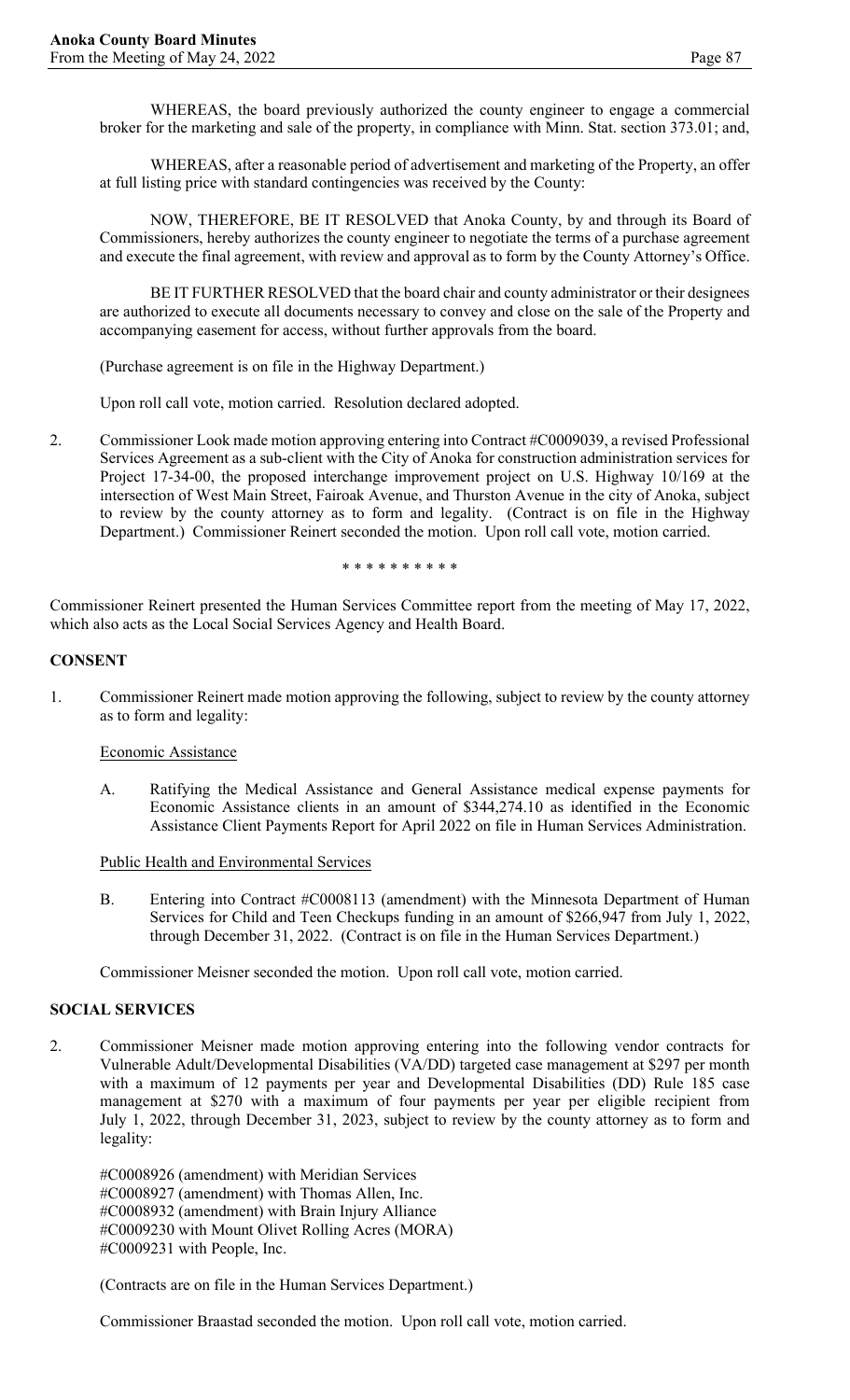WHEREAS, the board previously authorized the county engineer to engage a commercial broker for the marketing and sale of the property, in compliance with Minn. Stat. section 373.01; and,

WHEREAS, after a reasonable period of advertisement and marketing of the Property, an offer at full listing price with standard contingencies was received by the County:

NOW, THEREFORE, BE IT RESOLVED that Anoka County, by and through its Board of Commissioners, hereby authorizes the county engineer to negotiate the terms of a purchase agreement and execute the final agreement, with review and approval as to form by the County Attorney's Office.

BE IT FURTHER RESOLVED that the board chair and county administrator or their designees are authorized to execute all documents necessary to convey and close on the sale of the Property and accompanying easement for access, without further approvals from the board.

(Purchase agreement is on file in the Highway Department.)

Upon roll call vote, motion carried. Resolution declared adopted.

2. Commissioner Look made motion approving entering into Contract #C0009039, a revised Professional Services Agreement as a sub-client with the City of Anoka for construction administration services for Project 17-34-00, the proposed interchange improvement project on U.S. Highway 10/169 at the intersection of West Main Street, Fairoak Avenue, and Thurston Avenue in the city of Anoka, subject to review by the county attorney as to form and legality. (Contract is on file in the Highway Department.) Commissioner Reinert seconded the motion. Upon roll call vote, motion carried.

\* \* \* \* \* \* \* \* \* \*

Commissioner Reinert presented the Human Services Committee report from the meeting of May 17, 2022, which also acts as the Local Social Services Agency and Health Board.

#### **CONSENT**

1. Commissioner Reinert made motion approving the following, subject to review by the county attorney as to form and legality:

#### Economic Assistance

A. Ratifying the Medical Assistance and General Assistance medical expense payments for Economic Assistance clients in an amount of \$344,274.10 as identified in the Economic Assistance Client Payments Report for April 2022 on file in Human Services Administration.

Public Health and Environmental Services

B. Entering into Contract #C0008113 (amendment) with the Minnesota Department of Human Services for Child and Teen Checkups funding in an amount of \$266,947 from July 1, 2022, through December 31, 2022. (Contract is on file in the Human Services Department.)

Commissioner Meisner seconded the motion. Upon roll call vote, motion carried.

# **SOCIAL SERVICES**

2. Commissioner Meisner made motion approving entering into the following vendor contracts for Vulnerable Adult/Developmental Disabilities (VA/DD) targeted case management at \$297 per month with a maximum of 12 payments per year and Developmental Disabilities (DD) Rule 185 case management at \$270 with a maximum of four payments per year per eligible recipient from July 1, 2022, through December 31, 2023, subject to review by the county attorney as to form and legality:

#C0008926 (amendment) with Meridian Services #C0008927 (amendment) with Thomas Allen, Inc. #C0008932 (amendment) with Brain Injury Alliance #C0009230 with Mount Olivet Rolling Acres (MORA) #C0009231 with People, Inc.

(Contracts are on file in the Human Services Department.)

Commissioner Braastad seconded the motion. Upon roll call vote, motion carried.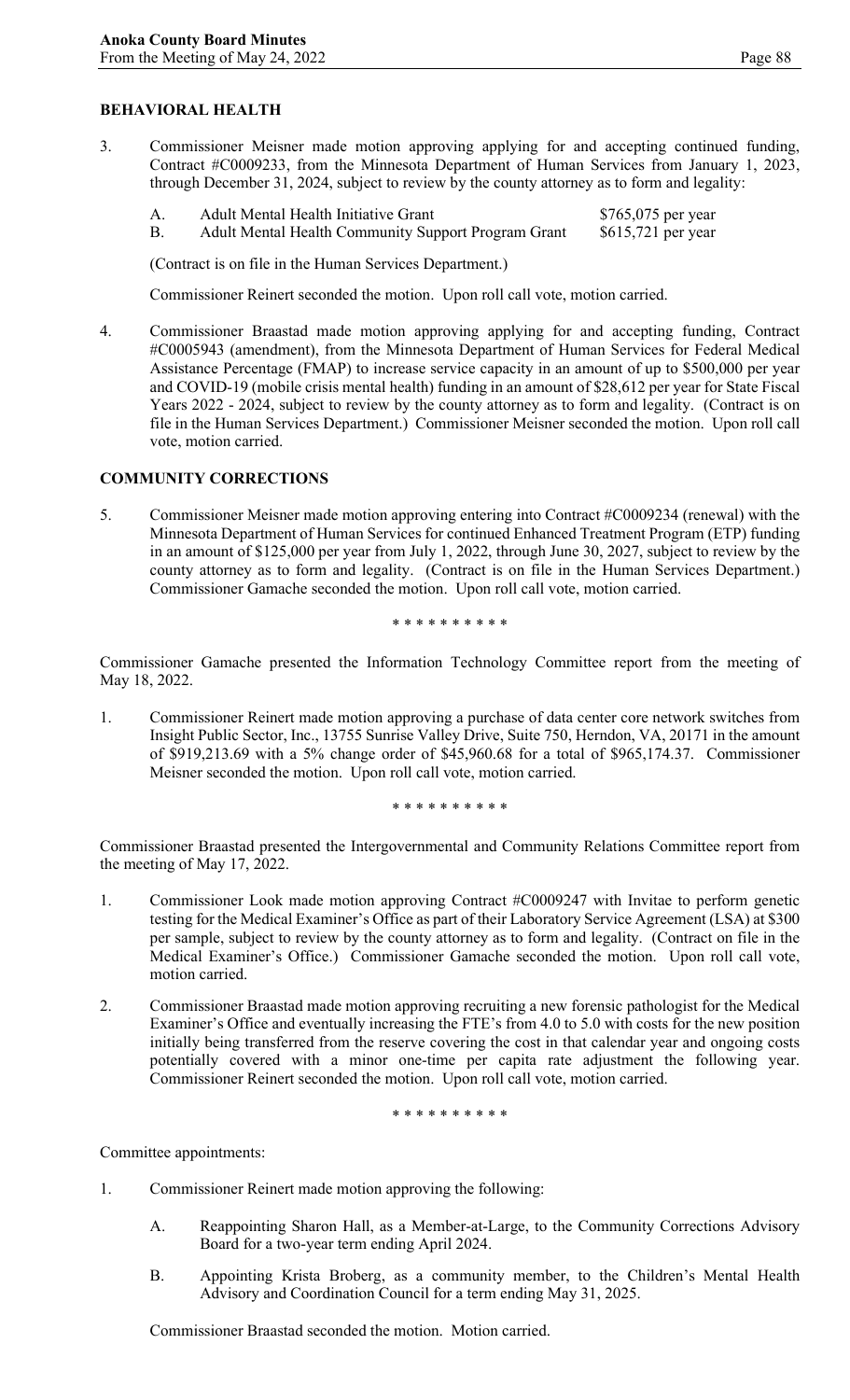3. Commissioner Meisner made motion approving applying for and accepting continued funding, Contract #C0009233, from the Minnesota Department of Human Services from January 1, 2023, through December 31, 2024, subject to review by the county attorney as to form and legality:

|           | Adult Mental Health Initiative Grant                | \$765,075 per year |
|-----------|-----------------------------------------------------|--------------------|
| <b>B.</b> | Adult Mental Health Community Support Program Grant | \$615,721 per year |

(Contract is on file in the Human Services Department.)

Commissioner Reinert seconded the motion. Upon roll call vote, motion carried.

4. Commissioner Braastad made motion approving applying for and accepting funding, Contract #C0005943 (amendment), from the Minnesota Department of Human Services for Federal Medical Assistance Percentage (FMAP) to increase service capacity in an amount of up to \$500,000 per year and COVID-19 (mobile crisis mental health) funding in an amount of \$28,612 per year for State Fiscal Years 2022 - 2024, subject to review by the county attorney as to form and legality. (Contract is on file in the Human Services Department.) Commissioner Meisner seconded the motion. Upon roll call vote, motion carried.

## **COMMUNITY CORRECTIONS**

5. Commissioner Meisner made motion approving entering into Contract #C0009234 (renewal) with the Minnesota Department of Human Services for continued Enhanced Treatment Program (ETP) funding in an amount of \$125,000 per year from July 1, 2022, through June 30, 2027, subject to review by the county attorney as to form and legality. (Contract is on file in the Human Services Department.) Commissioner Gamache seconded the motion. Upon roll call vote, motion carried.

\* \* \* \* \* \* \* \* \* \*

Commissioner Gamache presented the Information Technology Committee report from the meeting of May 18, 2022.

1. Commissioner Reinert made motion approving a purchase of data center core network switches from Insight Public Sector, Inc., 13755 Sunrise Valley Drive, Suite 750, Herndon, VA, 20171 in the amount of \$919,213.69 with a 5% change order of \$45,960.68 for a total of \$965,174.37. Commissioner Meisner seconded the motion. Upon roll call vote, motion carried.

\* \* \* \* \* \* \* \* \* \*

Commissioner Braastad presented the Intergovernmental and Community Relations Committee report from the meeting of May 17, 2022.

- 1. Commissioner Look made motion approving Contract #C0009247 with Invitae to perform genetic testing for the Medical Examiner's Office as part of their Laboratory Service Agreement (LSA) at \$300 per sample, subject to review by the county attorney as to form and legality. (Contract on file in the Medical Examiner's Office.) Commissioner Gamache seconded the motion. Upon roll call vote, motion carried.
- 2. Commissioner Braastad made motion approving recruiting a new forensic pathologist for the Medical Examiner's Office and eventually increasing the FTE's from 4.0 to 5.0 with costs for the new position initially being transferred from the reserve covering the cost in that calendar year and ongoing costs potentially covered with a minor one-time per capita rate adjustment the following year. Commissioner Reinert seconded the motion. Upon roll call vote, motion carried.

\* \* \* \* \* \* \* \* \* \*

Committee appointments:

- 1. Commissioner Reinert made motion approving the following:
	- A. Reappointing Sharon Hall, as a Member-at-Large, to the Community Corrections Advisory Board for a two-year term ending April 2024.
	- B. Appointing Krista Broberg, as a community member, to the Children's Mental Health Advisory and Coordination Council for a term ending May 31, 2025.

Commissioner Braastad seconded the motion. Motion carried.